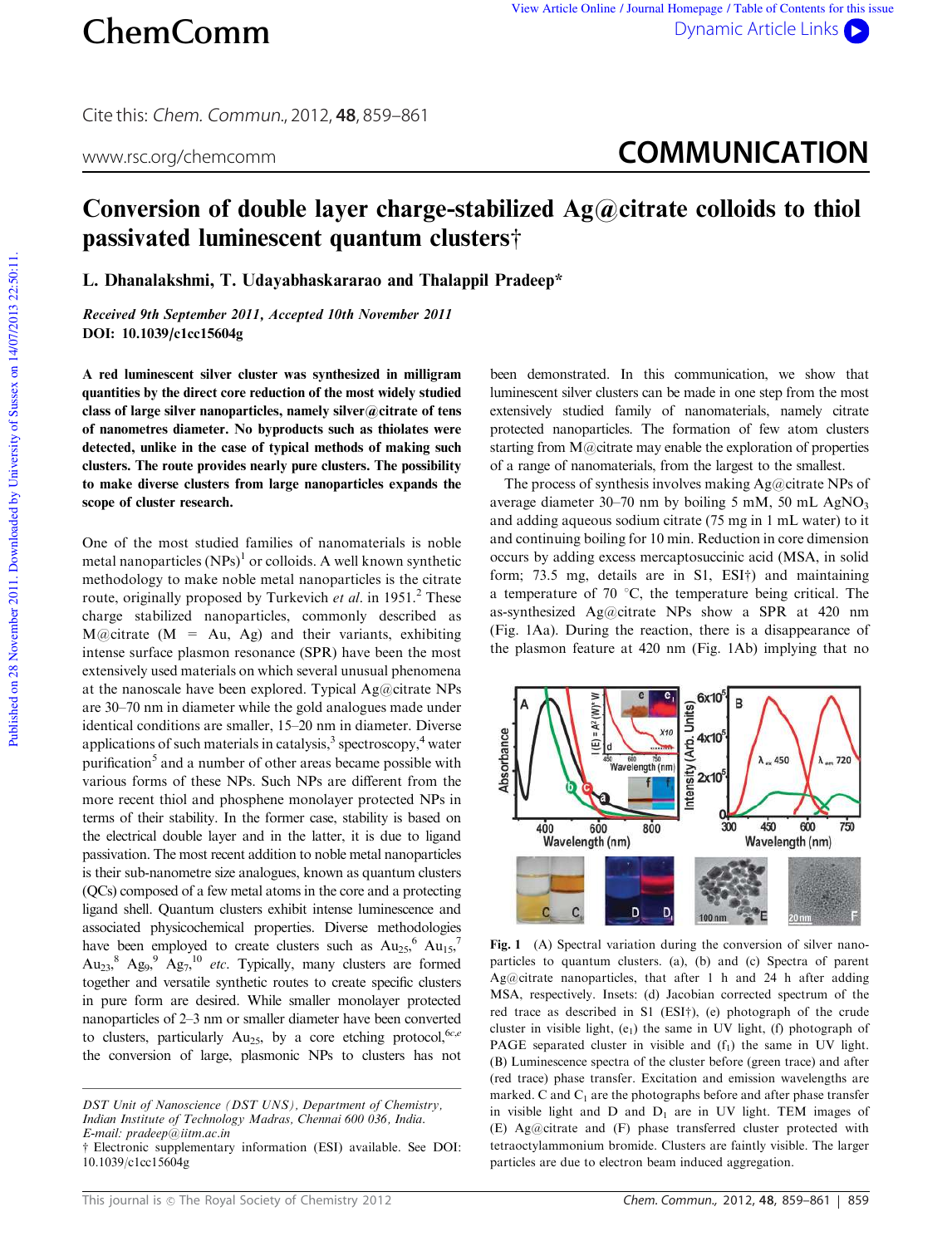Cite this: Chem. Commun., 2012, **48**, 859–861

## www.rsc.org/chemcomm **COMMUNICATION**

## Conversion of double layer charge-stabilized  $Ag@c$  itrate colloids to thiol passivated luminescent quantum clusters $\dagger$

L. Dhanalakshmi, T. Udayabhaskararao and Thalappil Pradeep\*

Received 9th September 2011, Accepted 10th November 2011 DOI: 10.1039/c1cc15604g

A red luminescent silver cluster was synthesized in milligram quantities by the direct core reduction of the most widely studied class of large silver nanoparticles, namely silver@citrate of tens of nanometres diameter. No byproducts such as thiolates were detected, unlike in the case of typical methods of making such clusters. The route provides nearly pure clusters. The possibility to make diverse clusters from large nanoparticles expands the scope of cluster research.

One of the most studied families of nanomaterials is noble metal nanoparticles  $(NPs)^1$  or colloids. A well known synthetic methodology to make noble metal nanoparticles is the citrate route, originally proposed by Turkevich *et al.* in 1951.<sup>2</sup> These charge stabilized nanoparticles, commonly described as  $M(\omega)$ citrate (M = Au, Ag) and their variants, exhibiting intense surface plasmon resonance (SPR) have been the most extensively used materials on which several unusual phenomena at the nanoscale have been explored. Typical Ag@citrate NPs are 30–70 nm in diameter while the gold analogues made under identical conditions are smaller, 15–20 nm in diameter. Diverse applications of such materials in catalysis, $3$  spectroscopy, $4$  water purification<sup>5</sup> and a number of other areas became possible with various forms of these NPs. Such NPs are different from the more recent thiol and phosphene monolayer protected NPs in terms of their stability. In the former case, stability is based on the electrical double layer and in the latter, it is due to ligand passivation. The most recent addition to noble metal nanoparticles is their sub-nanometre size analogues, known as quantum clusters (QCs) composed of a few metal atoms in the core and a protecting ligand shell. Quantum clusters exhibit intense luminescence and associated physicochemical properties. Diverse methodologies have been employed to create clusters such as  $Au_{25}$ <sup>6</sup>  $Au_{15}$ ,<sup>7</sup>  $Au_{23}$ ,  $Ag_{9}$ ,  $Ag_{7}$ ,  $b$  *etc.* Typically, many clusters are formed together and versatile synthetic routes to create specific clusters in pure form are desired. While smaller monolayer protected nanoparticles of 2–3 nm or smaller diameter have been converted to clusters, particularly Au<sub>25</sub>, by a core etching protocol,<sup>6*c*,*e*</sup> the conversion of large, plasmonic NPs to clusters has not

been demonstrated. In this communication, we show that luminescent silver clusters can be made in one step from the most extensively studied family of nanomaterials, namely citrate protected nanoparticles. The formation of few atom clusters starting from M@citrate may enable the exploration of properties of a range of nanomaterials, from the largest to the smallest.

The process of synthesis involves making  $Ag@citrate$  NPs of average diameter  $30-70$  nm by boiling 5 mM, 50 mL AgNO<sub>3</sub> and adding aqueous sodium citrate (75 mg in 1 mL water) to it and continuing boiling for 10 min. Reduction in core dimension occurs by adding excess mercaptosuccinic acid (MSA, in solid form; 73.5 mg, details are in  $SI$ ,  $ESI<sup>+</sup>$ ) and maintaining a temperature of 70  $\degree$ C, the temperature being critical. The as-synthesized Ag@citrate NPs show a SPR at 420 nm (Fig. 1Aa). During the reaction, there is a disappearance of the plasmon feature at 420 nm (Fig. 1Ab) implying that no



Fig. 1 (A) Spectral variation during the conversion of silver nanoparticles to quantum clusters. (a), (b) and (c) Spectra of parent Ag@citrate nanoparticles, that after 1 h and 24 h after adding MSA, respectively. Insets: (d) Jacobian corrected spectrum of the red trace as described in S1 (ESI $\dagger$ ), (e) photograph of the crude cluster in visible light,  $(e_1)$  the same in UV light, (f) photograph of PAGE separated cluster in visible and  $(f_1)$  the same in UV light. (B) Luminescence spectra of the cluster before (green trace) and after (red trace) phase transfer. Excitation and emission wavelengths are marked. C and  $C_1$  are the photographs before and after phase transfer in visible light and  $D$  and  $D_1$  are in UV light. TEM images of (E) Ag@citrate and (F) phase transferred cluster protected with tetraoctylammonium bromide. Clusters are faintly visible. The larger particles are due to electron beam induced aggregation.

*DST Unit of Nanoscience (DST UNS), Department of Chemistry, Indian Institute of Technology Madras, Chennai 600 036, India. E-mail: pradeep@iitm.ac.in*

<sup>†</sup> Electronic supplementary information (ESI) available. See DOI: 10.1039/c1cc15604g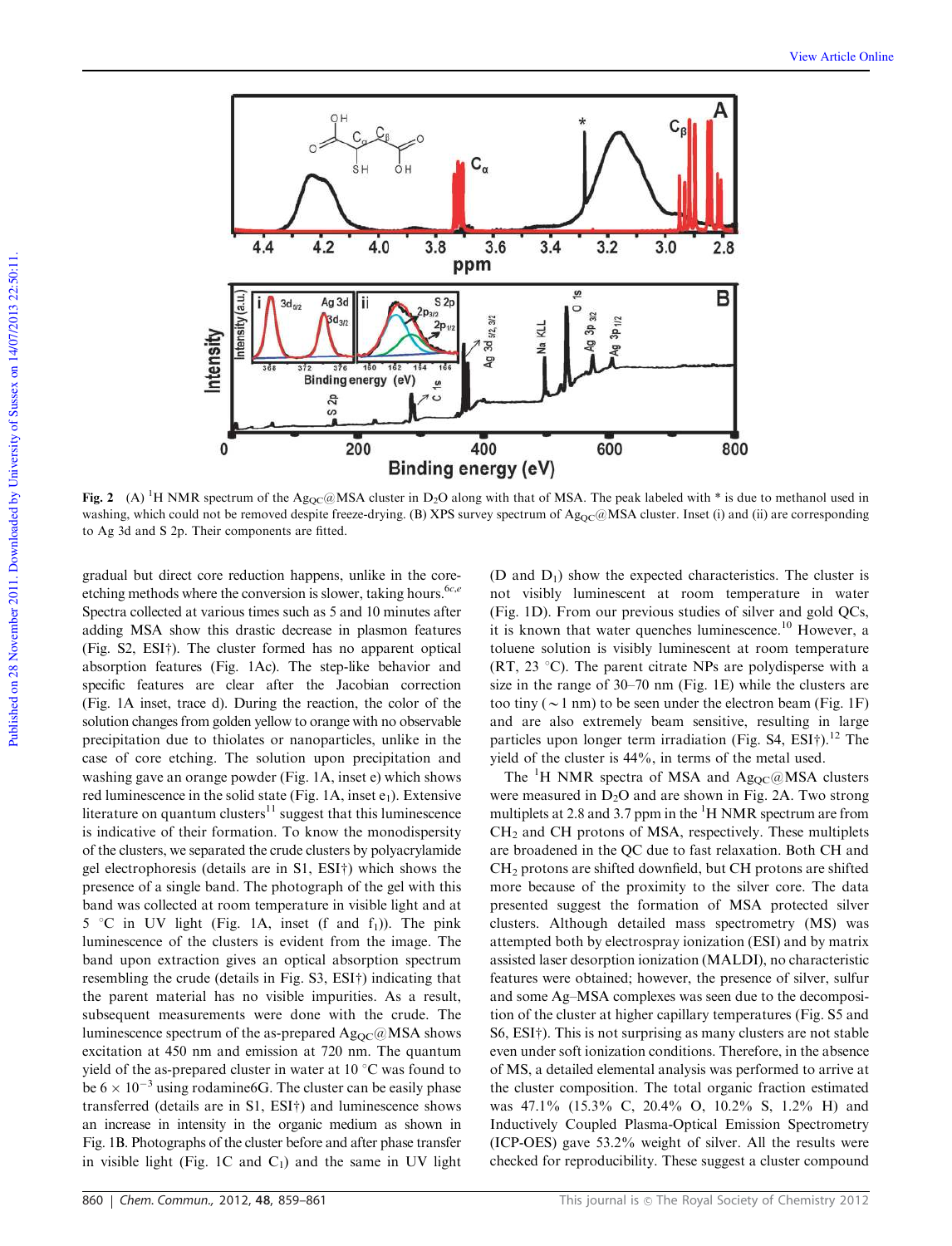

Fig. 2 (A) <sup>1</sup>H NMR spectrum of the Ag<sub>QC</sub>@MSA cluster in D<sub>2</sub>O along with that of MSA. The peak labeled with \* is due to methanol used in washing, which could not be removed despite freeze-drying. (B) XPS survey spectrum of  $Ag_{OC}$ @MSA cluster. Inset (i) and (ii) are corresponding to Ag 3d and S 2p. Their components are fitted.

gradual but direct core reduction happens, unlike in the coreetching methods where the conversion is slower, taking hours.<sup>6*c*, $e$ </sup> Spectra collected at various times such as 5 and 10 minutes after adding MSA show this drastic decrease in plasmon features (Fig.  $S2$ ,  $ESI<sup>+</sup>$ ). The cluster formed has no apparent optical absorption features (Fig. 1Ac). The step-like behavior and specific features are clear after the Jacobian correction (Fig. 1A inset, trace d). During the reaction, the color of the solution changes from golden yellow to orange with no observable precipitation due to thiolates or nanoparticles, unlike in the case of core etching. The solution upon precipitation and washing gave an orange powder (Fig. 1A, inset e) which shows red luminescence in the solid state (Fig. 1A, inset  $e_1$ ). Extensive literature on quantum clusters $11$  suggest that this luminescence is indicative of their formation. To know the monodispersity of the clusters, we separated the crude clusters by polyacrylamide gel electrophoresis (details are in  $S1$ ,  $ESI<sup>+</sup>$ ) which shows the presence of a single band. The photograph of the gel with this band was collected at room temperature in visible light and at  $5 °C$  in UV light (Fig. 1A, inset (f and  $f_1$ )). The pink luminescence of the clusters is evident from the image. The band upon extraction gives an optical absorption spectrum resembling the crude (details in Fig. S3, ESI†) indicating that the parent material has no visible impurities. As a result, subsequent measurements were done with the crude. The luminescence spectrum of the as-prepared  $Ag_{OC}(\omega)$ MSA shows excitation at 450 nm and emission at 720 nm. The quantum yield of the as-prepared cluster in water at  $10^{\circ}$ C was found to be  $6 \times 10^{-3}$  using rodamine 6G. The cluster can be easily phase transferred (details are in  $S1$ ,  $ESI<sup>+</sup>$ ) and luminescence shows an increase in intensity in the organic medium as shown in Fig. 1B. Photographs of the cluster before and after phase transfer in visible light (Fig. 1C and  $C_1$ ) and the same in UV light

(D and  $D_1$ ) show the expected characteristics. The cluster is not visibly luminescent at room temperature in water (Fig. 1D). From our previous studies of silver and gold QCs, it is known that water quenches luminescence.<sup>10</sup> However, a toluene solution is visibly luminescent at room temperature (RT, 23  $^{\circ}$ C). The parent citrate NPs are polydisperse with a size in the range of 30–70 nm (Fig. 1E) while the clusters are too tiny ( $\sim$  1 nm) to be seen under the electron beam (Fig. 1F) and are also extremely beam sensitive, resulting in large particles upon longer term irradiation (Fig. S4, ESI $\dagger$ ).<sup>12</sup> The yield of the cluster is 44%, in terms of the metal used.

The <sup>1</sup>H NMR spectra of MSA and  $Ag_{OC}(\partial MSA)$  clusters were measured in  $D_2O$  and are shown in Fig. 2A. Two strong multiplets at 2.8 and 3.7 ppm in the  $\mathrm{^{1}H}$  NMR spectrum are from CH<sup>2</sup> and CH protons of MSA, respectively. These multiplets are broadened in the QC due to fast relaxation. Both CH and CH<sub>2</sub> protons are shifted downfield, but CH protons are shifted more because of the proximity to the silver core. The data presented suggest the formation of MSA protected silver clusters. Although detailed mass spectrometry (MS) was attempted both by electrospray ionization (ESI) and by matrix assisted laser desorption ionization (MALDI), no characteristic features were obtained; however, the presence of silver, sulfur and some Ag–MSA complexes was seen due to the decomposition of the cluster at higher capillary temperatures (Fig. S5 and  $S6$ ,  $ESI<sup>+</sup>$ ). This is not surprising as many clusters are not stable even under soft ionization conditions. Therefore, in the absence of MS, a detailed elemental analysis was performed to arrive at the cluster composition. The total organic fraction estimated was 47.1% (15.3% C, 20.4% O, 10.2% S, 1.2% H) and Inductively Coupled Plasma-Optical Emission Spectrometry (ICP-OES) gave 53.2% weight of silver. All the results were checked for reproducibility. These suggest a cluster compound